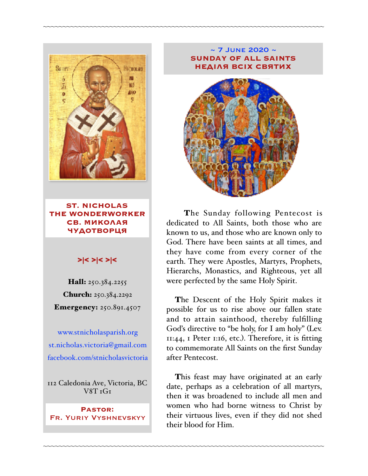

**ST. NICHOLAS THE WONDERWORKER СВ. МИКОЛАЯ ЧУДОТВОРЦЯ**

#### >|< >|< >|<

Hall: 250.384.2255 Church: 250.384.2292 Emergency: 250.891.4507

[www.stnicholasparish.org](http://www.stnicholasparish.org) [st.nicholas.victoria@gmail.com](mailto:st.nicholas.victoria@gmail.com) [facebook.com/stnicholasvictoria](http://facebook.com/stnicholasvictoria)

112 Caledonia Ave, Victoria, BC  $V8T T$ 

**Pastor:**  Fr. Yuriy Vyshnevskyy

#### $\sim$  7 JUNE 2020  $\sim$ **SUNDAY OF ALL SAINTS НЕДІЛЯ ВСІХ СВЯТИХ**

~~~~~~~~~~~~~~~~~~~~~~~~~~~~~~~~~~~~~~~~~~~~~~~~~~~~~~~~~~~~~~~~~~~~~~~~



The Sunday following Pentecost is dedicated to All Saints, both those who are known to us, and those who are known only to God. There have been saints at all times, and they have come from every corner of the earth. They were Apostles, Martyrs, Prophets, Hierarchs, Monastics, and Righteous, yet all were perfected by the same Holy Spirit.

The Descent of the Holy Spirit makes it possible for us to rise above our fallen state and to attain sainthood, thereby fulfilling God's directive to "be holy, for I am holy" (Lev. 11:44, 1 Peter 1:16, etc.). Therefore, it is fitting to commemorate All Saints on the first Sunday after Pentecost.

This feast may have originated at an early date, perhaps as a celebration of all martyrs, then it was broadened to include all men and women who had borne witness to Christ by their virtuous lives, even if they did not shed their blood for Him.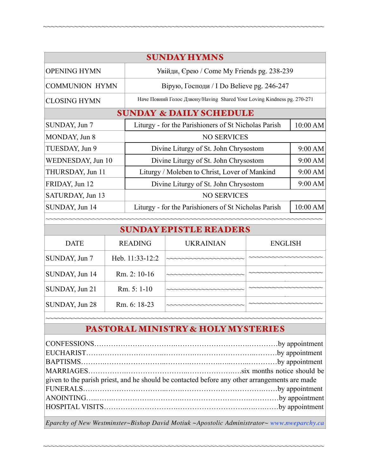|                                    |                |                                                                         | <b>SUNDAY HYMNS</b> |          |          |  |  |
|------------------------------------|----------------|-------------------------------------------------------------------------|---------------------|----------|----------|--|--|
|                                    |                |                                                                         |                     |          |          |  |  |
| <b>OPENING HYMN</b>                |                | Увійди, Єрею / Come My Friends pg. 238-239                              |                     |          |          |  |  |
| <b>COMMUNION HYMN</b>              |                | Вірую, Господи / I Do Believe pg. 246-247                               |                     |          |          |  |  |
| <b>CLOSING HYMN</b>                |                | Наче Повний Голос Дзвону/Having Shared Your Loving Kindness pg. 270-271 |                     |          |          |  |  |
| <b>SUNDAY &amp; DAILY SCHEDULE</b> |                |                                                                         |                     |          |          |  |  |
| SUNDAY, Jun 7                      |                | Liturgy - for the Parishioners of St Nicholas Parish                    |                     |          | 10:00 AM |  |  |
| MONDAY, Jun 8                      |                | <b>NO SERVICES</b>                                                      |                     |          |          |  |  |
| TUESDAY, Jun 9                     |                | Divine Liturgy of St. John Chrysostom                                   |                     |          | 9:00 AM  |  |  |
| WEDNESDAY, Jun 10                  |                | Divine Liturgy of St. John Chrysostom                                   |                     |          | 9:00 AM  |  |  |
| THURSDAY, Jun 11                   |                | Liturgy / Moleben to Christ, Lover of Mankind                           |                     |          | 9:00 AM  |  |  |
| FRIDAY, Jun 12                     |                | Divine Liturgy of St. John Chrysostom                                   |                     |          | 9:00 AM  |  |  |
| SATURDAY, Jun 13                   |                | <b>NO SERVICES</b>                                                      |                     |          |          |  |  |
| SUNDAY, Jun 14                     |                | Liturgy - for the Parishioners of St Nicholas Parish                    |                     |          | 10:00 AM |  |  |
|                                    |                |                                                                         |                     |          |          |  |  |
| <b>SUNDAY EPISTLE READERS</b>      |                |                                                                         |                     |          |          |  |  |
| <b>DATE</b>                        | <b>READING</b> |                                                                         | <b>I IKRAINIAN</b>  | ENGI ISH |          |  |  |

~~~~~~~~~~~~~~~~~~~~~~~~~~~~~~~~~~~~~~~~~~~~~~~~~~~~~~~~~~~~~~~~~~~~~~~~

| <b>DATE</b>    | <b>READING</b>  | <b>UKRAINIAN</b> | <b>ENGLISH</b> |  |  |  |
|----------------|-----------------|------------------|----------------|--|--|--|
| SUNDAY, Jun 7  | Heb. 11:33-12:2 |                  |                |  |  |  |
| SUNDAY, Jun 14 | Rm. 2: 10-16    |                  |                |  |  |  |
| SUNDAY, Jun 21 | $Rm. 5: 1-10$   |                  |                |  |  |  |
| SUNDAY, Jun 28 | Rm. 6: 18-23    |                  |                |  |  |  |
|                |                 |                  |                |  |  |  |

# PASTORAL MINISTRY & HOLY MYSTERIES

| given to the parish priest, and he should be contacted before any other arrangements are made |  |  |  |  |
|-----------------------------------------------------------------------------------------------|--|--|--|--|
|                                                                                               |  |  |  |  |
|                                                                                               |  |  |  |  |
|                                                                                               |  |  |  |  |
|                                                                                               |  |  |  |  |

*Eparchy of New Westminster~Bishop David Motiuk ~Apostolic Administrator~ [www.nweparchy.ca](http://www.nweparchy.ca)*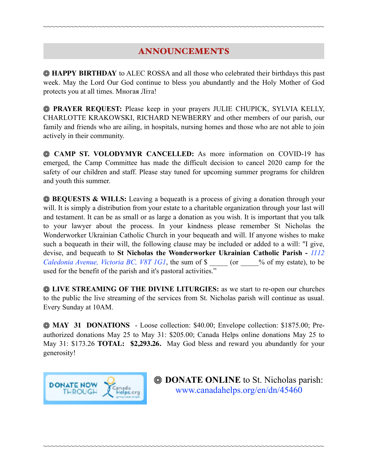# ANNOUNCEMENTS

~~~~~~~~~~~~~~~~~~~~~~~~~~~~~~~~~~~~~~~~~~~~~~~~~~~~~~~~~~~~~~~~~~~~~~~~

**HAPPY BIRTHDAY** to ALEC ROSSA and all those who celebrated their birthdays this past week. May the Lord Our God continue to bless you abundantly and the Holy Mother of God protects you at all times. Многая Літа!

**PRAYER REQUEST:** Please keep in your prayers JULIE CHUPICK, SYLVIA KELLY, CHARLOTTE KRAKOWSKI, RICHARD NEWBERRY and other members of our parish, our family and friends who are ailing, in hospitals, nursing homes and those who are not able to join actively in their community.

 **CAMP ST. VOLODYMYR CANCELLED:** As more information on COVID-19 has emerged, the Camp Committee has made the difficult decision to cancel 2020 camp for the safety of our children and staff. Please stay tuned for upcoming summer programs for children and youth this summer.

**BEQUESTS & WILLS:** Leaving a bequeath is a process of giving a donation through your will. It is simply a distribution from your estate to a charitable organization through your last will and testament. It can be as small or as large a donation as you wish. It is important that you talk to your lawyer about the process. In your kindness please remember St Nicholas the Wonderworker Ukrainian Catholic Church in your bequeath and will. If anyone wishes to make such a bequeath in their will, the following clause may be included or added to a will: "I give, devise, and bequeath to **St Nicholas the Wonderworker Ukrainian Catholic Parish -** *1112 Caledonia Avenue, Victoria BC, V8T 1G1*, the sum of \$  $\degree$  (or  $\degree$  % of my estate), to be used for the benefit of the parish and it's pastoral activities."

**EXAMING OF THE DIVINE LITURGIES:** as we start to re-open our churches to the public the live streaming of the services from St. Nicholas parish will continue as usual. Every Sunday at 10AM.

**MAY 31 DONATIONS** - Loose collection: \$40.00; Envelope collection: \$1875.00; Preauthorized donations May 25 to May 31: \$205.00; Canada Helps online donations May 25 to May 31: \$173.26 **TOTAL: \$2,293.26.** May God bless and reward you abundantly for your generosity!

~~~~~~~~~~~~~~~~~~~~~~~~~~~~~~~~~~~~~~~~~~~~~~~~~~~~~~~~~~~~~~~~~~~~~~~~



*WE DONATE ONLINE* to St. Nicholas parish: [www.canadahelps.org/en/dn/45460](http://www.canadahelps.org/en/dn/45460)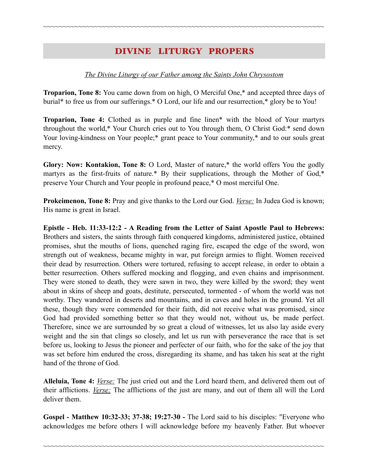## DIVINE LITURGY PROPERS

~~~~~~~~~~~~~~~~~~~~~~~~~~~~~~~~~~~~~~~~~~~~~~~~~~~~~~~~~~~~~~~~~~~~~~~~

#### *The Divine Liturgy of our Father among the Saints John Chrysostom*

**Troparion, Tone 8:** You came down from on high, O Merciful One,\* and accepted three days of burial\* to free us from our sufferings.\* O Lord, our life and our resurrection,\* glory be to You!

**Troparion, Tone 4:** Clothed as in purple and fine linen\* with the blood of Your martyrs throughout the world,\* Your Church cries out to You through them, O Christ God:\* send down Your loving-kindness on Your people;\* grant peace to Your community,\* and to our souls great mercy.

**Glory: Now: Kontakion, Tone 8:** O Lord, Master of nature,\* the world offers You the godly martyrs as the first-fruits of nature.\* By their supplications, through the Mother of God,\* preserve Your Church and Your people in profound peace,\* O most merciful One.

**Prokeimenon, Tone 8:** Pray and give thanks to the Lord our God. *Verse:* In Judea God is known; His name is great in Israel.

**Epistle - Heb. 11:33-12:2 - A Reading from the Letter of Saint Apostle Paul to Hebrews:** Brothers and sisters, the saints through faith conquered kingdoms, administered justice, obtained promises, shut the mouths of lions, quenched raging fire, escaped the edge of the sword, won strength out of weakness, became mighty in war, put foreign armies to flight. Women received their dead by resurrection. Others were tortured, refusing to accept release, in order to obtain a better resurrection. Others suffered mocking and flogging, and even chains and imprisonment. They were stoned to death, they were sawn in two, they were killed by the sword; they went about in skins of sheep and goats, destitute, persecuted, tormented - of whom the world was not worthy. They wandered in deserts and mountains, and in caves and holes in the ground. Yet all these, though they were commended for their faith, did not receive what was promised, since God had provided something better so that they would not, without us, be made perfect. Therefore, since we are surrounded by so great a cloud of witnesses, let us also lay aside every weight and the sin that clings so closely, and let us run with perseverance the race that is set before us, looking to Jesus the pioneer and perfecter of our faith, who for the sake of the joy that was set before him endured the cross, disregarding its shame, and has taken his seat at the right hand of the throne of God.

**Alleluia, Tone 4:** *Verse:* The just cried out and the Lord heard them, and delivered them out of their afflictions. *Verse:* The afflictions of the just are many, and out of them all will the Lord deliver them.

**Gospel - Matthew 10:32-33; 37-38; 19:27-30 -** The Lord said to his disciples: "Everyone who acknowledges me before others I will acknowledge before my heavenly Father. But whoever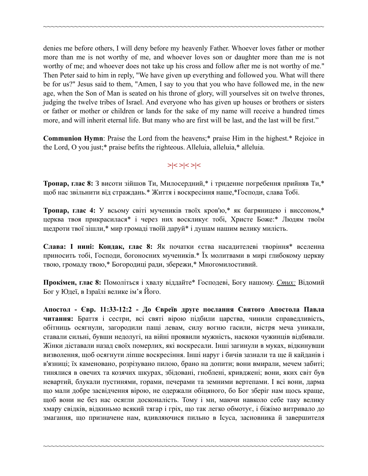denies me before others, I will deny before my heavenly Father. Whoever loves father or mother more than me is not worthy of me, and whoever loves son or daughter more than me is not worthy of me; and whoever does not take up his cross and follow after me is not worthy of me." Then Peter said to him in reply, "We have given up everything and followed you. What will there be for us?" Jesus said to them, "Amen, I say to you that you who have followed me, in the new age, when the Son of Man is seated on his throne of glory, will yourselves sit on twelve thrones, judging the twelve tribes of Israel. And everyone who has given up houses or brothers or sisters or father or mother or children or lands for the sake of my name will receive a hundred times more, and will inherit eternal life. But many who are first will be last, and the last will be first."

~~~~~~~~~~~~~~~~~~~~~~~~~~~~~~~~~~~~~~~~~~~~~~~~~~~~~~~~~~~~~~~~~~~~~~~~

**Communion Hymn**: Praise the Lord from the heavens;\* praise Him in the highest.\* Rejoice in the Lord, O you just;\* praise befits the righteous. Alleluia, alleluia,\* alleluia.

### **>|< >|< >|<**

**Тропар, глас 8:** З висоти зійшов Ти, Милосердний,\* і триденне погребення прийняв Ти,\* щоб нас звільнити від страждань.\* Життя і воскресіння наше,\*Господи, слава Тобі.

**Тропар, глас 4:** У всьому світі мучеників твоїх кров'ю,\* як багряницею і виссоном,\* церква твоя прикрасилася\* і через них воскликує тобі, Христе Боже:\* Людям твоїм щедроти твої зішли,\* мир громаді твоїй даруй\* і душам нашим велику милість.

**Слава: І нині: Кондак, глас 8:** Як початки єства насадителеві творіння\* вселенна приносить тобі, Господи, богоносних мучеників.\* Їх молитвами в мирі глибокому церкву твою, громаду твою,\* Богородиці ради, збережи,\* Многомилостивий.

**Прокімен, глас 8:** Помоліться і хвалу віддайте\* Господеві, Богу нашому. *Стих:* Відомий Бог у Юдеї, в Ізраїлі велике ім'я Його.

**Апостол - Євр. 11:33-12:2 - До Євреїв друге послання Святого Апостола Павла читання:** Браття і сестри, всі святі вірою підбили царства, чинили справедливість, обітниць осягнули, загородили пащі левам, силу вогню гасили, вістря меча уникали, ставали сильні, бувши недолугі, на війні проявили мужність, наскоки чужинців відбивали. Жінки діставали назад своїх померлих, які воскресали. Інші загинули в муках, відкинувши визволення, щоб осягнути ліпше воскресіння. Інші наруг і бичів зазнали та ще й кайданів і в'язниці; їх каменовано, розрізувано пилою, брано на допити; вони вмирали, мечем забиті; тинялися в овечих та козячих шкурах, збідовані, гноблені, кривджені; вони, яких світ був невартий, блукали пустинями, горами, печерами та земними вертепами. І всі вони, дарма що мали добре засвідчення вірою, не одержали обіцяного, бо Бог зберіг нам щось краще, щоб вони не без нас осягли досконалість. Тому і ми, маючи навколо себе таку велику хмару свідків, відкиньмо всякий тягар і гріх, що так легко обмотує, і біжімо витривало до змагання, що призначене нам, вдивляючися пильно в Ісуса, засновника й завершителя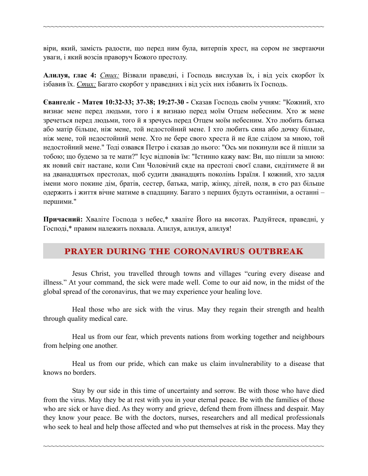віри, який, замість радости, що перед ним була, витерпів хрест, на сором не звертаючи уваги, і який возсів праворуч Божого престолу.

~~~~~~~~~~~~~~~~~~~~~~~~~~~~~~~~~~~~~~~~~~~~~~~~~~~~~~~~~~~~~~~~~~~~~~~~

**Алилуя, глас 4:** *Стих:* Візвали праведні, і Господь вислухав їх, і від усіх скорбот їх ізбавив їх. *Стих:* Багато скорбот у праведних і від усіх них ізбавить їх Господь.

**Євангеліє - Матея 10:32-33; 37-38; 19:27-30 -** Сказав Господь своїм учням: "Кожний, хто визнає мене перед людьми, того і я визнаю перед моїм Отцем небесним. Хто ж мене зречеться перед людьми, того й я зречусь перед Отцем моїм небесним. Хто любить батька або матір більше, ніж мене, той недостойний мене. І хто любить сина або дочку більше, ніж мене, той недостойний мене. Хто не бере свого хреста й не йде слідом за мною, той недостойний мене." Тоді озвався Петро і сказав до нього: "Ось ми покинули все й пішли за тобою; що будемо за те мати?" Ісус відповів їм: "Істинно кажу вам: Ви, що пішли за мною: як новий світ настане, коли Син Чоловічий сяде на престолі своєї слави, сидітимете й ви на дванадцятьох престолах, щоб судити дванадцять поколінь Ізраїля. І кожний, хто задля імени мого покине дім, братів, сестер, батька, матір, жінку, дітей, поля, в сто раз більше одержить і життя вічне матиме в спадщину. Багато з перших будуть останніми, а останні – першими."

**Причасний:** Хваліте Господа з небес,\* хваліте Його на висотах. Радуйтеся, праведні, у Господі,\* правим належить похвала. Алилуя, aлилуя, aлилуя!

## PRAYER DURING THE CORONAVIRUS OUTBREAK

Jesus Christ, you travelled through towns and villages "curing every disease and illness." At your command, the sick were made well. Come to our aid now, in the midst of the global spread of the coronavirus, that we may experience your healing love.

Heal those who are sick with the virus. May they regain their strength and health through quality medical care.

Heal us from our fear, which prevents nations from working together and neighbours from helping one another.

Heal us from our pride, which can make us claim invulnerability to a disease that knows no borders.

Stay by our side in this time of uncertainty and sorrow. Be with those who have died from the virus. May they be at rest with you in your eternal peace. Be with the families of those who are sick or have died. As they worry and grieve, defend them from illness and despair. May they know your peace. Be with the doctors, nurses, researchers and all medical professionals who seek to heal and help those affected and who put themselves at risk in the process. May they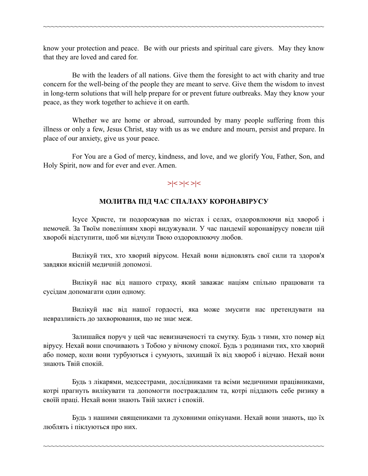know your protection and peace. Be with our priests and spiritual care givers. May they know that they are loved and cared for.

~~~~~~~~~~~~~~~~~~~~~~~~~~~~~~~~~~~~~~~~~~~~~~~~~~~~~~~~~~~~~~~~~~~~~~~~

Be with the leaders of all nations. Give them the foresight to act with charity and true concern for the well-being of the people they are meant to serve. Give them the wisdom to invest in long-term solutions that will help prepare for or prevent future outbreaks. May they know your peace, as they work together to achieve it on earth.

Whether we are home or abroad, surrounded by many people suffering from this illness or only a few, Jesus Christ, stay with us as we endure and mourn, persist and prepare. In place of our anxiety, give us your peace.

For You are a God of mercy, kindness, and love, and we glorify You, Father, Son, and Holy Spirit, now and for ever and ever. Amen.

## **>|< >|< >|<**

#### **МОЛИТВА ПІД ЧАС СПАЛАХУ КОРОНАВІРУСУ**

Ісусе Христе, ти подорожував по містах і селах, оздоровлюючи від хвороб і немочей. За Твоїм повелінням хворі видужували. У час пандемії коронавірусу повели цій хворобі відступити, щоб ми відчули Твою оздоровлюючу любов.

Вилікуй тих, хто хворий вірусом. Нехай вони відновлять свої сили та здоров'я завдяки якісній медичній допомозі.

Вилікуй нас від нашого страху, який заважає націям спільно працювати та сусідам допомагати один одному.

Вилікуй нас від нашої гордості, яка може змусити нас претендувати на невразливість до захворювання, що не знає меж.

Залишайся поруч у цей час невизначеності та смутку. Будь з тими, хто помер від вірусу. Нехай вони спочивають з Тобою у вічному спокої. Будь з родинами тих, хто хворий або помер, коли вони турбуються і сумують, захищай їх від хвороб і відчаю. Нехай вони знають Твій спокій.

Будь з лікарями, медсестрами, дослідниками та всіми медичними працівниками, котрі прагнуть вилікувати та допомогти постраждалим та, котрі піддають себе ризику в своїй праці. Нехай вони знають Твій захист і спокій.

Будь з нашими священиками та духовними опікунами. Нехай вони знають, що їх люблять і піклуються про них.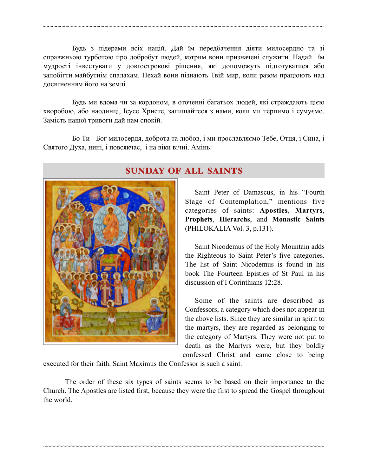Будь з лідерами всіх націй. Дай їм передбачення діяти милосердно та зі справжньою турботою про добробут людей, котрим вони призначені служити. Надай їм мудрості інвестувати у довгострокові рішення, які допоможуть підготуватися або запобігти майбутнім спалахам. Нехай вони пізнають Твій мир, коли разом працюють над досягненням його на землі.

~~~~~~~~~~~~~~~~~~~~~~~~~~~~~~~~~~~~~~~~~~~~~~~~~~~~~~~~~~~~~~~~~~~~~~~~

Будь ми вдома чи за кордоном, в оточенні багатьох людей, які страждають цією хворобою, або наодинці, Ісусе Христе, залишайтеся з нами, коли ми терпимо і сумуємо. Замість нашої тривоги дай нам спокій.

Бо Ти - Бог милосердя, доброта та любов, і ми прославляємо Тебе, Отця, і Сина, і Святого Духа, нині, і повсякчас, і на віки вічні. Амінь.



## SUNDAY OF ALL SAINTS

 Saint Peter of Damascus, in his "Fourth Stage of Contemplation," mentions five categories of saints: **Apostles**, **Martyrs**, **Prophets**, **Hierarchs**, and **Monastic Saints** (PHILOKALIA Vol. 3, p.131).

Saint Nicodemus of the Holy Mountain adds the Righteous to Saint Peter's five categories. The list of Saint Nicodemus is found in his book The Fourteen Epistles of St Paul in his discussion of I Corinthians 12:28.

Some of the saints are described as Confessors, a category which does not appear in the above lists. Since they are similar in spirit to the martyrs, they are regarded as belonging to the category of Martyrs. They were not put to death as the Martyrs were, but they boldly confessed Christ and came close to being

executed for their faith. Saint Maximus the Confessor is such a saint.

The order of these six types of saints seems to be based on their importance to the Church. The Apostles are listed first, because they were the first to spread the Gospel throughout the world.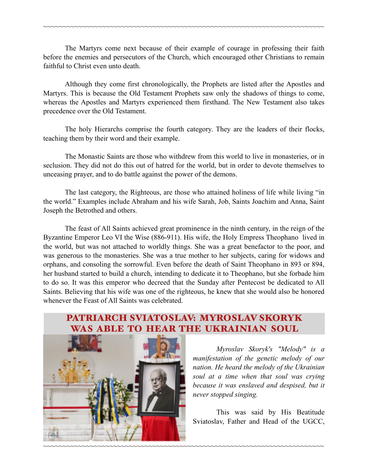The Martyrs come next because of their example of courage in professing their faith before the enemies and persecutors of the Church, which encouraged other Christians to remain faithful to Christ even unto death.

~~~~~~~~~~~~~~~~~~~~~~~~~~~~~~~~~~~~~~~~~~~~~~~~~~~~~~~~~~~~~~~~~~~~~~~~

Although they come first chronologically, the Prophets are listed after the Apostles and Martyrs. This is because the Old Testament Prophets saw only the shadows of things to come, whereas the Apostles and Martyrs experienced them firsthand. The New Testament also takes precedence over the Old Testament.

The holy Hierarchs comprise the fourth category. They are the leaders of their flocks, teaching them by their word and their example.

The Monastic Saints are those who withdrew from this world to live in monasteries, or in seclusion. They did not do this out of hatred for the world, but in order to devote themselves to unceasing prayer, and to do battle against the power of the demons.

The last category, the Righteous, are those who attained holiness of life while living "in the world." Examples include Abraham and his wife Sarah, Job, Saints Joachim and Anna, Saint Joseph the Betrothed and others.

The feast of All Saints achieved great prominence in the ninth century, in the reign of the Byzantine Emperor Leo VI the Wise (886-911). His wife, the Holy Empress Theophano lived in the world, but was not attached to worldly things. She was a great benefactor to the poor, and was generous to the monasteries. She was a true mother to her subjects, caring for widows and orphans, and consoling the sorrowful. Even before the death of Saint Theophano in 893 or 894, her husband started to build a church, intending to dedicate it to Theophano, but she forbade him to do so. It was this emperor who decreed that the Sunday after Pentecost be dedicated to All Saints. Believing that his wife was one of the righteous, he knew that she would also be honored whenever the Feast of All Saints was celebrated.

# PATRIARCH SVIATOSLAV: MYROSLAV SKORYK WAS ABLE TO HEAR THE UKRAINIAN SOUL

~~~~~~~~~~~~~~~~~~~~~~~~~~~~~~~~~~~~~~~~~~~~~~~~~~~~~~~~~~~~~~~~~~~~~~~~



*Myroslav Skoryk's "Melody" is a manifestation of the genetic melody of our nation. He heard the melody of the Ukrainian soul at a time when that soul was crying because it was enslaved and despised, but it never stopped singing.* 

 This was said by His Beatitude Sviatoslav, Father and Head of the UGCC,